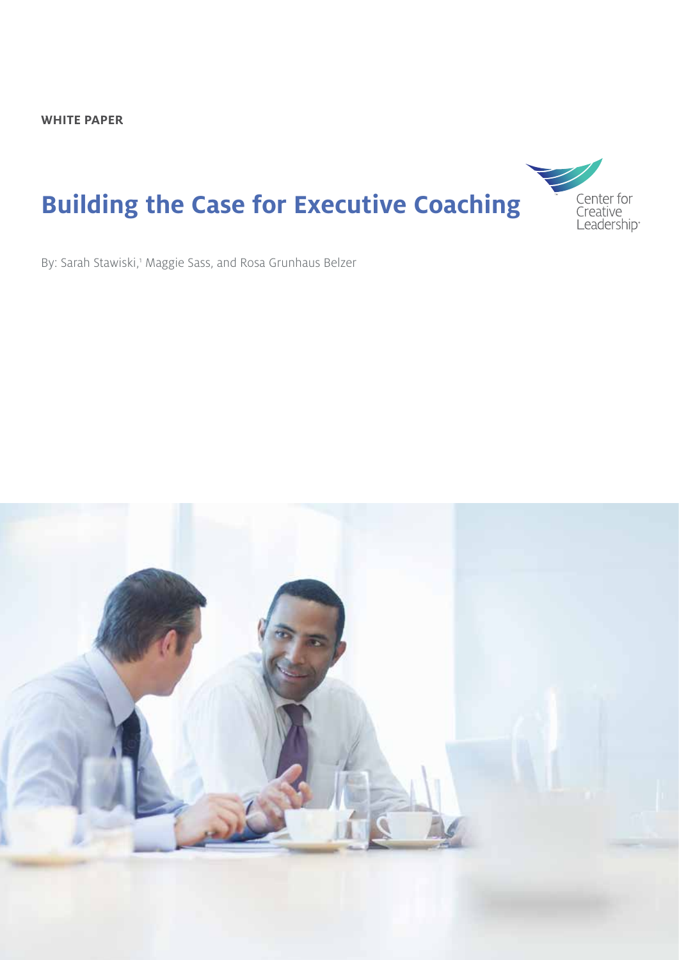# **Building the Case for Executive Coaching**



By: Sarah Stawiski,<sup>1</sup> Maggie Sass, and Rosa Grunhaus Belzer

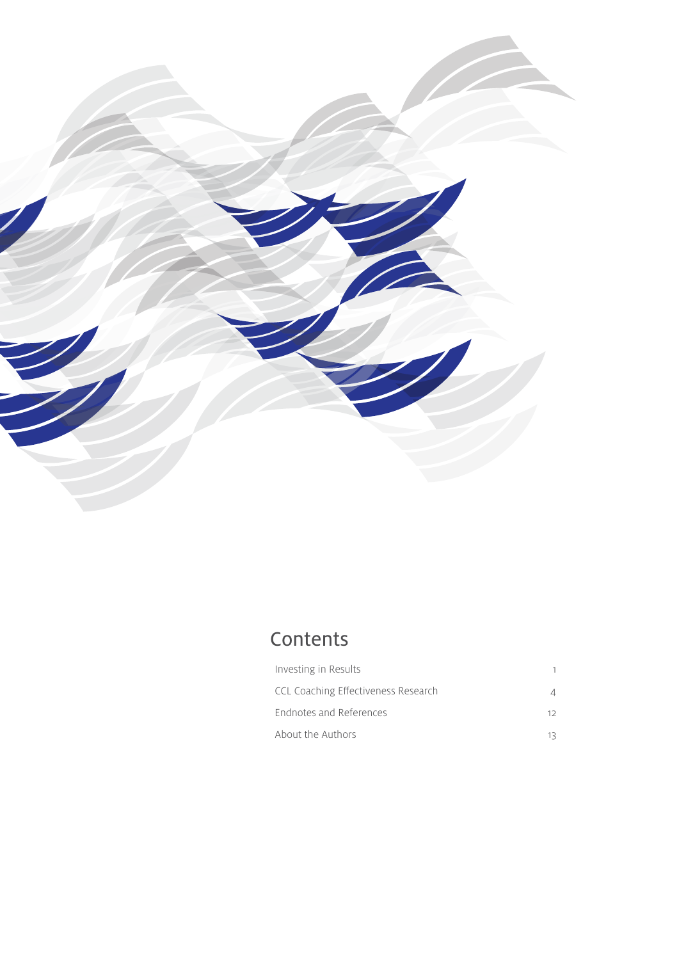

### Contents

| Investing in Results                |     |
|-------------------------------------|-----|
| CCL Coaching Effectiveness Research |     |
| Endnotes and References             | 12. |
| About the Authors                   |     |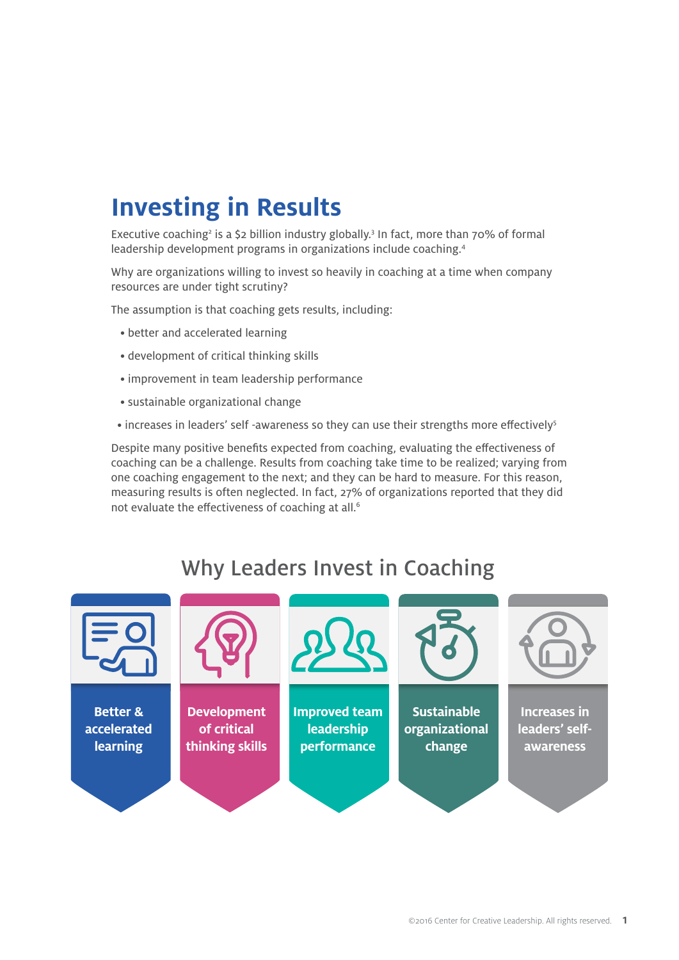# **Investing in Results**

Executive coaching<sup>2</sup> is a \$2 billion industry globally.<sup>3</sup> In fact, more than 70% of formal leadership development programs in organizations include coaching.4

Why are organizations willing to invest so heavily in coaching at a time when company resources are under tight scrutiny?

The assumption is that coaching gets results, including:

- better and accelerated learning
- development of critical thinking skills
- improvement in team leadership performance
- sustainable organizational change
- increases in leaders' self -awareness so they can use their strengths more effectively<sup>5</sup>

Despite many positive benefits expected from coaching, evaluating the effectiveness of coaching can be a challenge. Results from coaching take time to be realized; varying from one coaching engagement to the next; and they can be hard to measure. For this reason, measuring results is often neglected. In fact, 27% of organizations reported that they did not evaluate the effectiveness of coaching at all.<sup>6</sup>

### Why Leaders Invest in Coaching

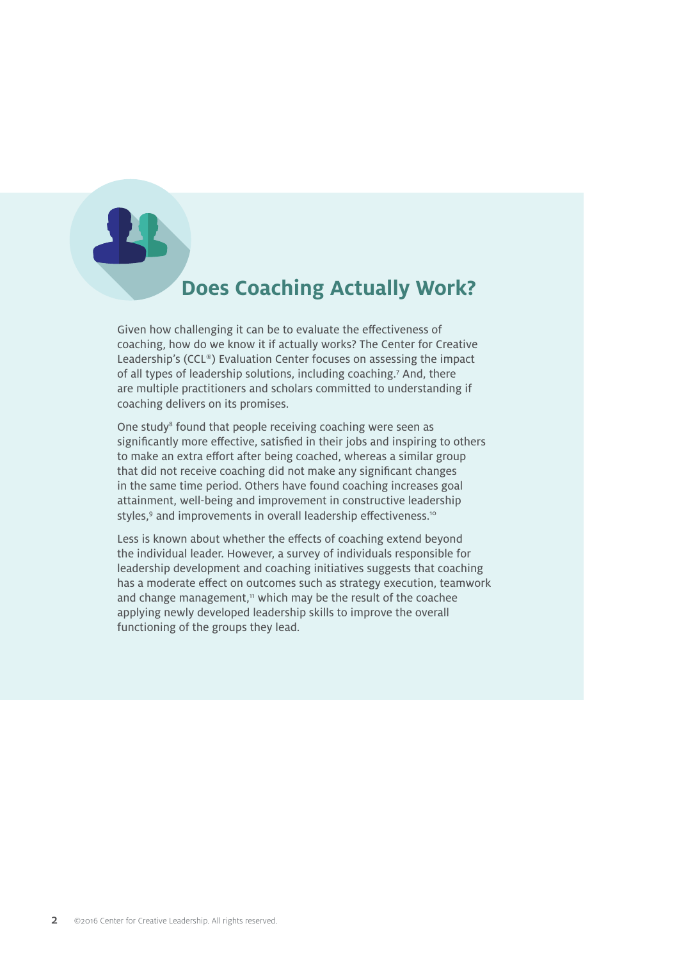### **Does Coaching Actually Work?**

Given how challenging it can be to evaluate the effectiveness of coaching, how do we know it if actually works? The Center for Creative Leadership's (CCL®) Evaluation Center focuses on assessing the impact of all types of leadership solutions, including coaching.<sup>7</sup> And, there are multiple practitioners and scholars committed to understanding if coaching delivers on its promises.

One study<sup>8</sup> found that people receiving coaching were seen as significantly more effective, satisfied in their jobs and inspiring to others to make an extra effort after being coached, whereas a similar group that did not receive coaching did not make any significant changes in the same time period. Others have found coaching increases goal attainment, well-being and improvement in constructive leadership styles,<sup>9</sup> and improvements in overall leadership effectiveness.<sup>10</sup>

Less is known about whether the effects of coaching extend beyond the individual leader. However, a survey of individuals responsible for leadership development and coaching initiatives suggests that coaching has a moderate effect on outcomes such as strategy execution, teamwork and change management, $11$  which may be the result of the coachee applying newly developed leadership skills to improve the overall functioning of the groups they lead.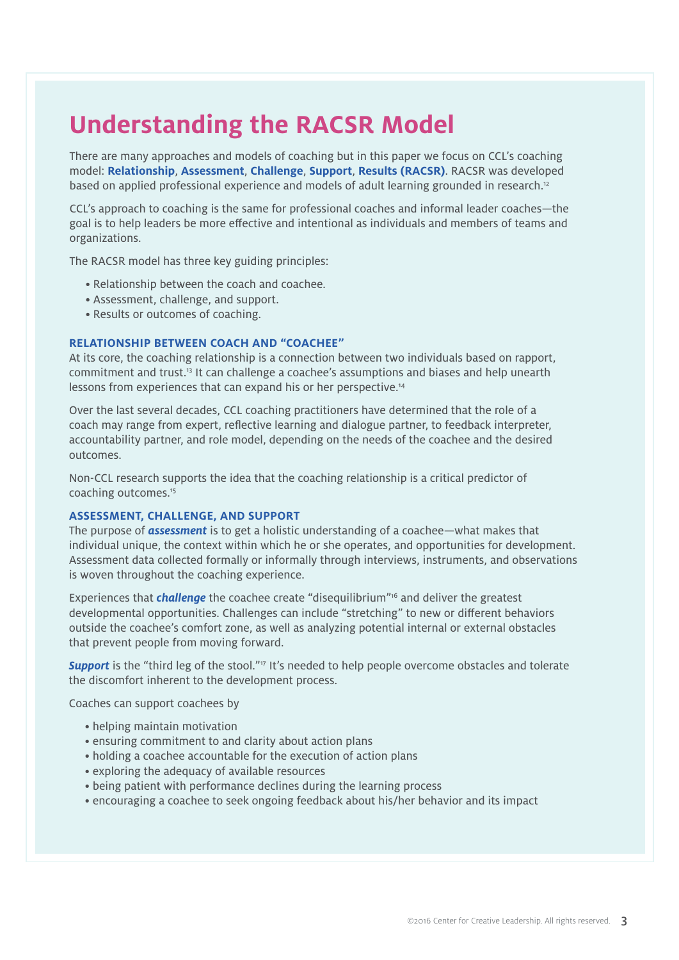# **Understanding the RACSR Model**

There are many approaches and models of coaching but in this paper we focus on CCL's coaching model: **Relationship**, **Assessment**, **Challenge**, **Support**, **Results (RACSR)**. RACSR was developed based on applied professional experience and models of adult learning grounded in research.<sup>12</sup>

CCL's approach to coaching is the same for professional coaches and informal leader coaches—the goal is to help leaders be more effective and intentional as individuals and members of teams and organizations.

The RACSR model has three key guiding principles:

- Relationship between the coach and coachee.
- Assessment, challenge, and support.
- Results or outcomes of coaching.

#### **RELATIONSHIP BETWEEN COACH AND "COACHEE"**

At its core, the coaching relationship is a connection between two individuals based on rapport, commitment and trust.13 It can challenge a coachee's assumptions and biases and help unearth lessons from experiences that can expand his or her perspective.<sup>14</sup>

Over the last several decades, CCL coaching practitioners have determined that the role of a coach may range from expert, reflective learning and dialogue partner, to feedback interpreter, accountability partner, and role model, depending on the needs of the coachee and the desired outcomes.

Non-CCL research supports the idea that the coaching relationship is a critical predictor of coaching outcomes.15

#### **ASSESSMENT, CHALLENGE, AND SUPPORT**

The purpose of *assessment* is to get a holistic understanding of a coachee—what makes that individual unique, the context within which he or she operates, and opportunities for development. Assessment data collected formally or informally through interviews, instruments, and observations is woven throughout the coaching experience.

Experiences that *challenge* the coachee create "disequilibrium"16 and deliver the greatest developmental opportunities. Challenges can include "stretching" to new or different behaviors outside the coachee's comfort zone, as well as analyzing potential internal or external obstacles that prevent people from moving forward.

**Support** is the "third leg of the stool."<sup>17</sup> It's needed to help people overcome obstacles and tolerate the discomfort inherent to the development process.

Coaches can support coachees by

- helping maintain motivation
- ensuring commitment to and clarity about action plans
- holding a coachee accountable for the execution of action plans
- exploring the adequacy of available resources
- being patient with performance declines during the learning process
- encouraging a coachee to seek ongoing feedback about his/her behavior and its impact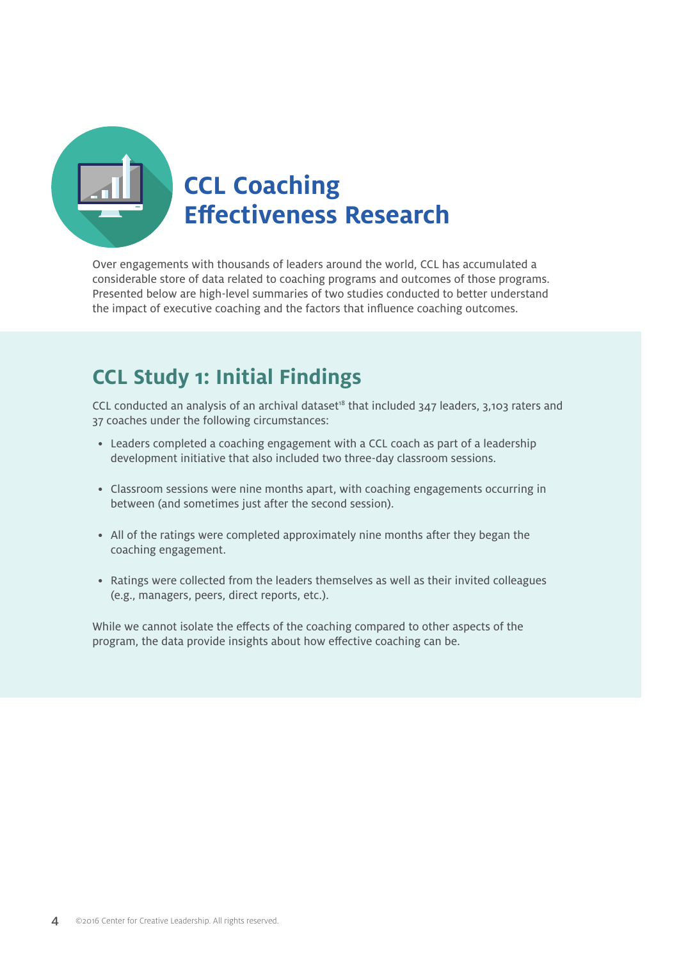

Over engagements with thousands of leaders around the world, CCL has accumulated a considerable store of data related to coaching programs and outcomes of those programs. Presented below are high-level summaries of two studies conducted to better understand the impact of executive coaching and the factors that influence coaching outcomes.

### **CCL Study 1: Initial Findings**

CCL conducted an analysis of an archival dataset<sup>18</sup> that included  $347$  leaders,  $3,103$  raters and 37 coaches under the following circumstances:

- Leaders completed a coaching engagement with a CCL coach as part of a leadership development initiative that also included two three-day classroom sessions.
- Classroom sessions were nine months apart, with coaching engagements occurring in between (and sometimes just after the second session).
- All of the ratings were completed approximately nine months after they began the coaching engagement.
- Ratings were collected from the leaders themselves as well as their invited colleagues (e.g., managers, peers, direct reports, etc.).

While we cannot isolate the effects of the coaching compared to other aspects of the program, the data provide insights about how effective coaching can be.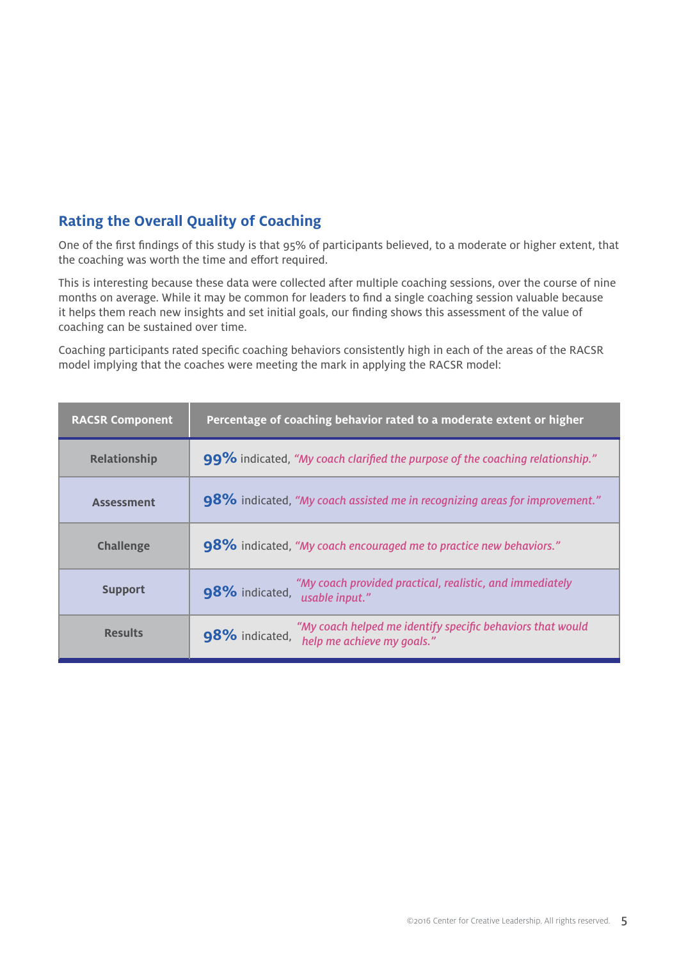#### **Rating the Overall Quality of Coaching**

One of the first findings of this study is that 95% of participants believed, to a moderate or higher extent, that the coaching was worth the time and effort required.

This is interesting because these data were collected after multiple coaching sessions, over the course of nine months on average. While it may be common for leaders to find a single coaching session valuable because it helps them reach new insights and set initial goals, our finding shows this assessment of the value of coaching can be sustained over time.

Coaching participants rated specific coaching behaviors consistently high in each of the areas of the RACSR model implying that the coaches were meeting the mark in applying the RACSR model:

| <b>RACSR Component</b> | Percentage of coaching behavior rated to a moderate extent or higher                                       |
|------------------------|------------------------------------------------------------------------------------------------------------|
| <b>Relationship</b>    | 99% indicated, "My coach clarified the purpose of the coaching relationship."                              |
| <b>Assessment</b>      | 98% indicated, "My coach assisted me in recognizing areas for improvement."                                |
| <b>Challenge</b>       | 98% indicated, "My coach encouraged me to practice new behaviors."                                         |
| <b>Support</b>         | "My coach provided practical, realistic, and immediately<br>98% indicated,<br>usable input."               |
| <b>Results</b>         | "My coach helped me identify specific behaviors that would<br>98% indicated,<br>help me achieve my goals." |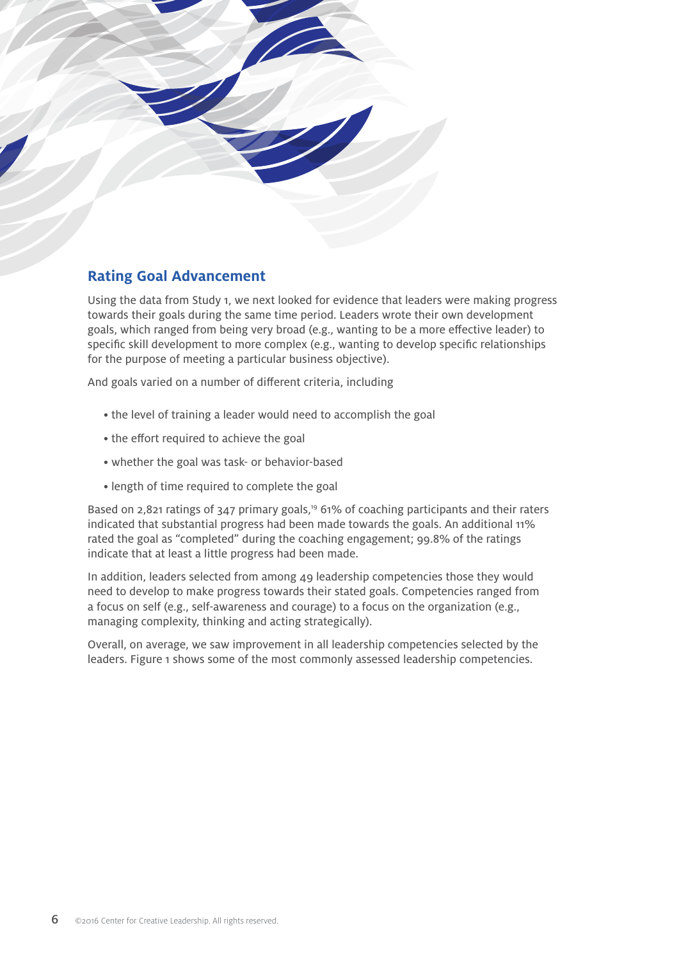

#### **Rating Goal Advancement**

Using the data from Study 1, we next looked for evidence that leaders were making progress towards their goals during the same time period. Leaders wrote their own development goals, which ranged from being very broad (e.g., wanting to be a more effective leader) to specific skill development to more complex (e.g., wanting to develop specific relationships for the purpose of meeting a particular business objective).

And goals varied on a number of different criteria, including

- the level of training a leader would need to accomplish the goal
- the effort required to achieve the goal
- whether the goal was task- or behavior-based
- length of time required to complete the goal

Based on 2,821 ratings of 347 primary goals,<sup>19</sup> 61% of coaching participants and their raters indicated that substantial progress had been made towards the goals. An additional 11% rated the goal as "completed" during the coaching engagement; 99.8% of the ratings indicate that at least a little progress had been made.

In addition, leaders selected from among 49 leadership competencies those they would need to develop to make progress towards their stated goals. Competencies ranged from a focus on self (e.g., self-awareness and courage) to a focus on the organization (e.g., managing complexity, thinking and acting strategically).

Overall, on average, we saw improvement in all leadership competencies selected by the leaders. Figure 1 shows some of the most commonly assessed leadership competencies.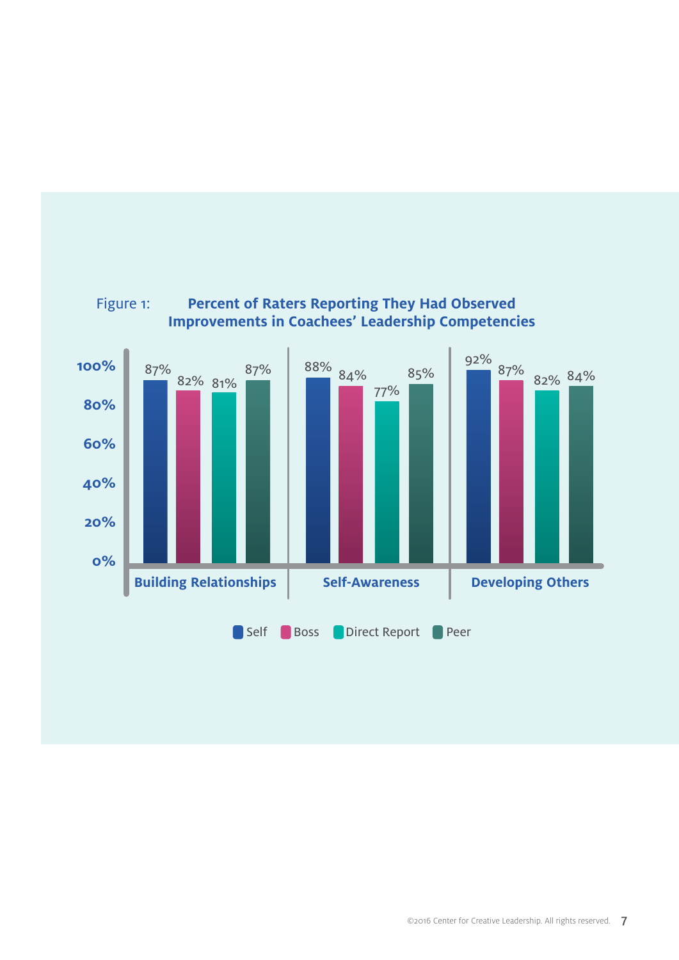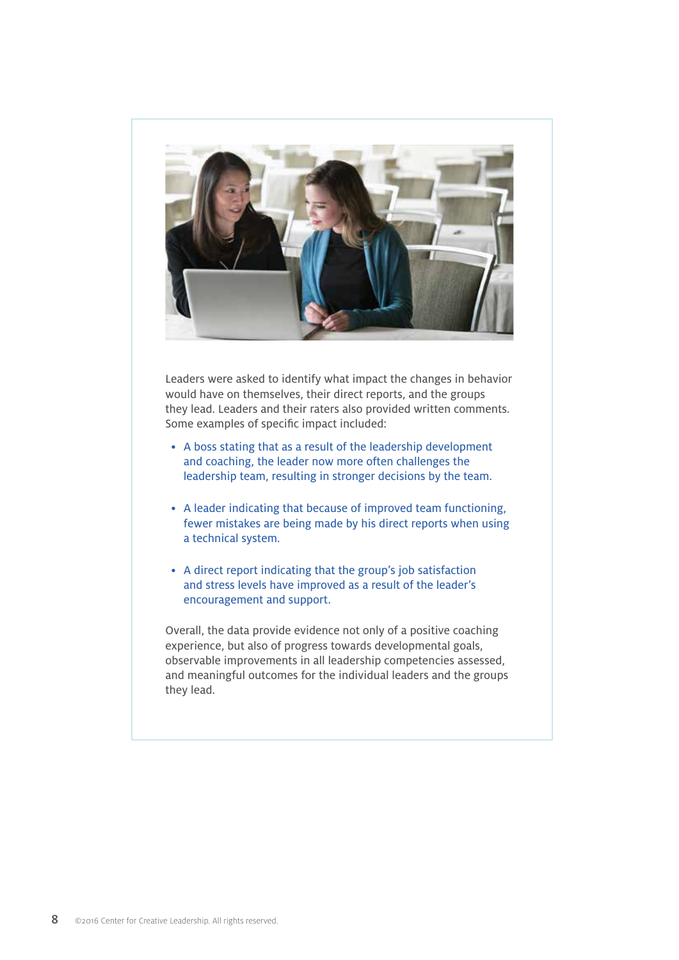

Leaders were asked to identify what impact the changes in behavior would have on themselves, their direct reports, and the groups they lead. Leaders and their raters also provided written comments. Some examples of specific impact included:

- A boss stating that as a result of the leadership development and coaching, the leader now more often challenges the leadership team, resulting in stronger decisions by the team.
- A leader indicating that because of improved team functioning, fewer mistakes are being made by his direct reports when using a technical system.
- A direct report indicating that the group's job satisfaction and stress levels have improved as a result of the leader's encouragement and support.

Overall, the data provide evidence not only of a positive coaching experience, but also of progress towards developmental goals, observable improvements in all leadership competencies assessed, and meaningful outcomes for the individual leaders and the groups they lead.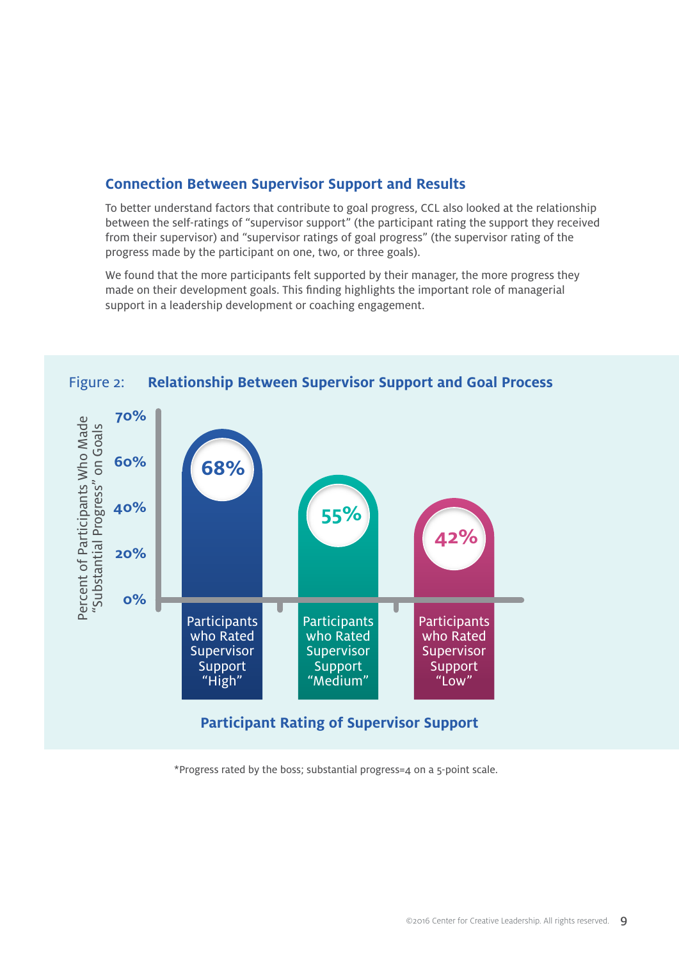#### **Connection Between Supervisor Support and Results**

To better understand factors that contribute to goal progress, CCL also looked at the relationship between the self-ratings of "supervisor support" (the participant rating the support they received from their supervisor) and "supervisor ratings of goal progress" (the supervisor rating of the progress made by the participant on one, two, or three goals).

We found that the more participants felt supported by their manager, the more progress they made on their development goals. This finding highlights the important role of managerial support in a leadership development or coaching engagement.



#### **Relationship Between Supervisor Support and Goal Process** Figure 2:

\*Progress rated by the boss; substantial progress=4 on a 5-point scale.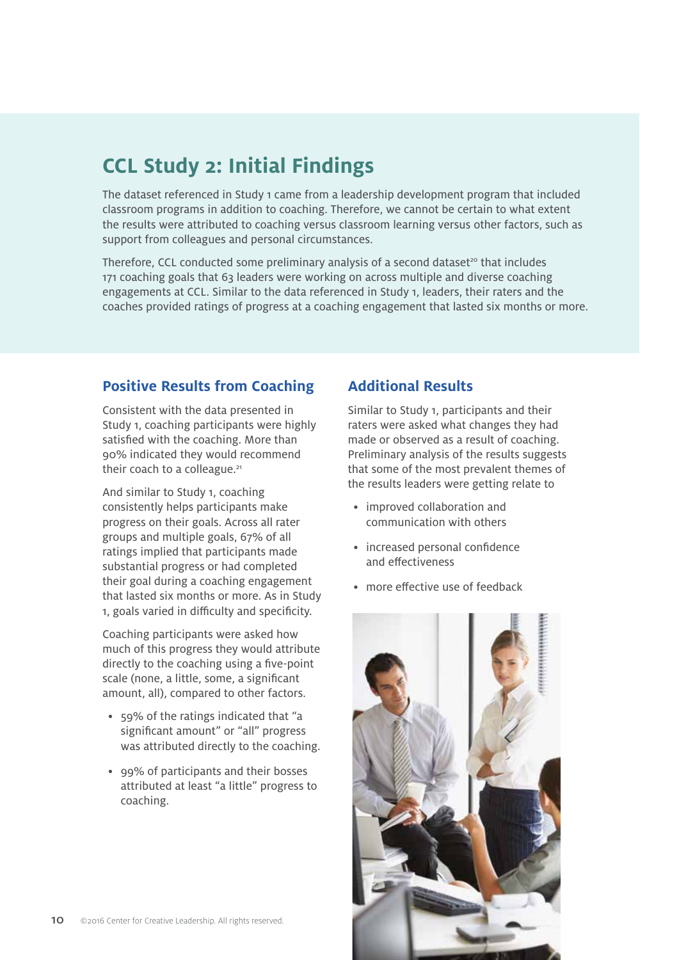### **CCL Study 2: Initial Findings**

The dataset referenced in Study 1 came from a leadership development program that included classroom programs in addition to coaching. Therefore, we cannot be certain to what extent the results were attributed to coaching versus classroom learning versus other factors, such as support from colleagues and personal circumstances.

Therefore, CCL conducted some preliminary analysis of a second dataset $20$  that includes 171 coaching goals that 63 leaders were working on across multiple and diverse coaching engagements at CCL. Similar to the data referenced in Study 1, leaders, their raters and the coaches provided ratings of progress at a coaching engagement that lasted six months or more.

#### **Positive Results from Coaching**

Consistent with the data presented in Study 1, coaching participants were highly satisfied with the coaching. More than 90% indicated they would recommend their coach to a colleague.<sup>21</sup>

And similar to Study 1, coaching consistently helps participants make progress on their goals. Across all rater groups and multiple goals, 67% of all ratings implied that participants made substantial progress or had completed their goal during a coaching engagement that lasted six months or more. As in Study 1, goals varied in difficulty and specificity.

Coaching participants were asked how much of this progress they would attribute directly to the coaching using a five-point scale (none, a little, some, a significant amount, all), compared to other factors.

- 59% of the ratings indicated that "a significant amount" or "all" progress was attributed directly to the coaching.
- 99% of participants and their bosses attributed at least "a little" progress to coaching.

#### **Additional Results**

Similar to Study 1, participants and their raters were asked what changes they had made or observed as a result of coaching. Preliminary analysis of the results suggests that some of the most prevalent themes of the results leaders were getting relate to

- improved collaboration and communication with others
- increased personal confidence and effectiveness
- more effective use of feedback

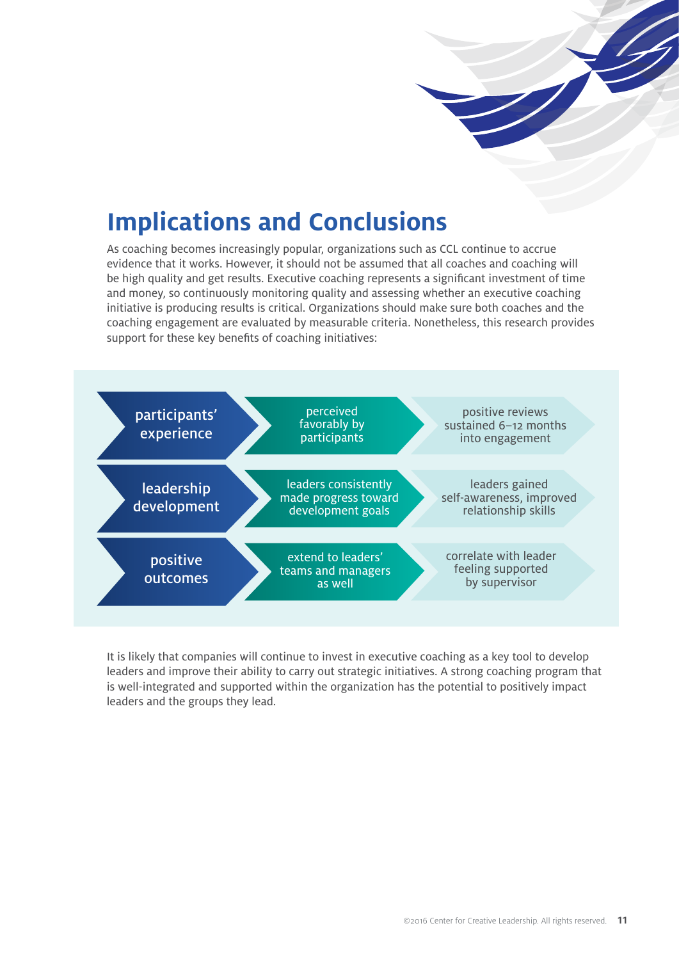

# **Implications and Conclusions**

As coaching becomes increasingly popular, organizations such as CCL continue to accrue evidence that it works. However, it should not be assumed that all coaches and coaching will be high quality and get results. Executive coaching represents a significant investment of time and money, so continuously monitoring quality and assessing whether an executive coaching initiative is producing results is critical. Organizations should make sure both coaches and the coaching engagement are evaluated by measurable criteria. Nonetheless, this research provides support for these key benefits of coaching initiatives:



It is likely that companies will continue to invest in executive coaching as a key tool to develop leaders and improve their ability to carry out strategic initiatives. A strong coaching program that is well-integrated and supported within the organization has the potential to positively impact leaders and the groups they lead.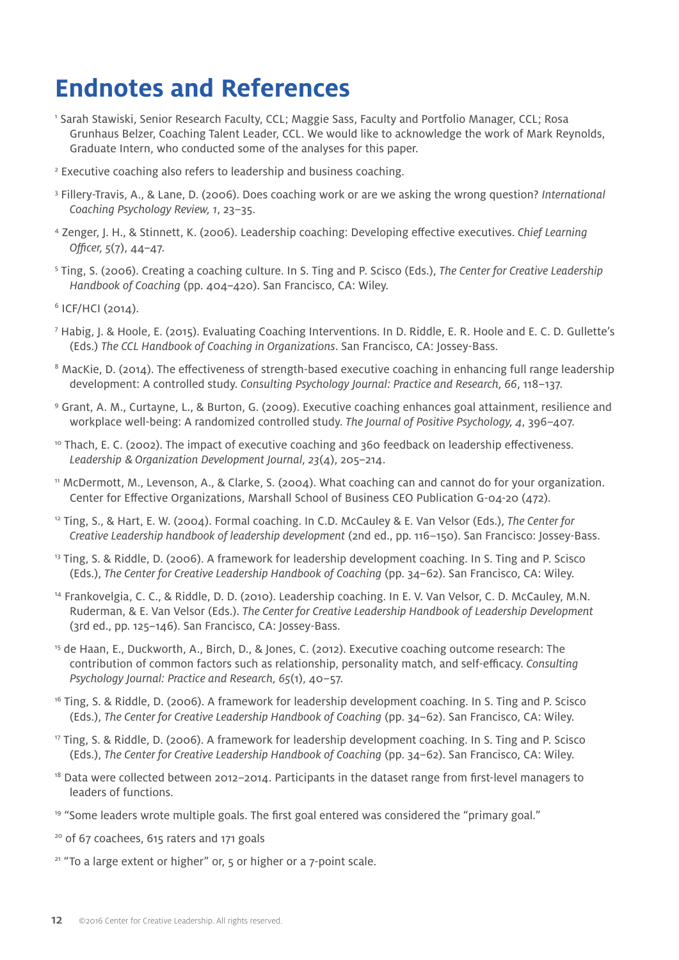# **Endnotes and References**

- 1 Sarah Stawiski, Senior Research Faculty, CCL; Maggie Sass, Faculty and Portfolio Manager, CCL; Rosa Grunhaus Belzer, Coaching Talent Leader, CCL. We would like to acknowledge the work of Mark Reynolds, Graduate Intern, who conducted some of the analyses for this paper.
- <sup>2</sup> Executive coaching also refers to leadership and business coaching.
- 3 Fillery-Travis, A., & Lane, D. (2006). Does coaching work or are we asking the wrong question? *International Coaching Psychology Review, 1*, 23–35.
- 4 Zenger, J. H., & Stinnett, K. (2006). Leadership coaching: Developing effective executives. *Chief Learning Officer, 5*(7), 44–47.
- 5 Ting, S. (2006). Creating a coaching culture. In S. Ting and P. Scisco (Eds.), *The Center for Creative Leadership Handbook of Coaching* (pp. 404–420). San Francisco, CA: Wiley.
- 6 ICF/HCI (2014).
- 7 Habig, J. & Hoole, E. (2015). Evaluating Coaching Interventions. In D. Riddle, E. R. Hoole and E. C. D. Gullette's (Eds.) *The CCL Handbook of Coaching in Organizations*. San Francisco, CA: Jossey-Bass.
- <sup>8</sup> MacKie, D. (2014). The effectiveness of strength-based executive coaching in enhancing full range leadership development: A controlled study. *Consulting Psychology Journal: Practice and Research, 66*, 118–137.
- 9 Grant, A. M., Curtayne, L., & Burton, G. (2009). Executive coaching enhances goal attainment, resilience and workplace well-being: A randomized controlled study. *The Journal of Positive Psychology, 4*, 396–407.
- $10$  Thach, E. C. (2002). The impact of executive coaching and 360 feedback on leadership effectiveness. *Leadership* & *Organization Development Journal, 23*(4), 205–214.
- 11 McDermott, M., Levenson, A., & Clarke, S. (2004). What coaching can and cannot do for your organization. Center for Effective Organizations, Marshall School of Business CEO Publication G-04-20 (472).
- 12 Ting, S., & Hart, E. W. (2004). Formal coaching. In C.D. McCauley & E. Van Velsor (Eds.), *The Center for Creative Leadership handbook of leadership development* (2nd ed., pp. 116–150). San Francisco: Jossey-Bass.
- 13 Ting, S. & Riddle, D. (2006). A framework for leadership development coaching. In S. Ting and P. Scisco (Eds.), *The Center for Creative Leadership Handbook of Coaching* (pp. 34–62). San Francisco, CA: Wiley.
- 14 Frankovelgia, C. C., & Riddle, D. D. (2010). Leadership coaching. In E. V. Van Velsor, C. D. McCauley, M.N. Ruderman, & E. Van Velsor (Eds.). *The Center for Creative Leadership Handbook of Leadership Development* (3rd ed., pp. 125–146). San Francisco, CA: Jossey-Bass.
- 15 de Haan, E., Duckworth, A., Birch, D., & Jones, C. (2012). Executive coaching outcome research: The contribution of common factors such as relationship, personality match, and self-efficacy. *Consulting Psychology Journal: Practice and Research, 65*(1), 40–57.
- 16 Ting, S. & Riddle, D. (2006). A framework for leadership development coaching. In S. Ting and P. Scisco (Eds.), *The Center for Creative Leadership Handbook of Coaching* (pp. 34–62). San Francisco, CA: Wiley.
- <sup>17</sup> Ting, S. & Riddle, D. (2006). A framework for leadership development coaching. In S. Ting and P. Scisco (Eds.), *The Center for Creative Leadership Handbook of Coaching* (pp. 34–62). San Francisco, CA: Wiley.
- <sup>18</sup> Data were collected between 2012–2014. Participants in the dataset range from first-level managers to leaders of functions.
- <sup>19</sup> "Some leaders wrote multiple goals. The first goal entered was considered the "primary goal."
- <sup>20</sup> of 67 coachees, 615 raters and 171 goals
- $21$  "To a large extent or higher" or,  $5$  or higher or a  $7$ -point scale.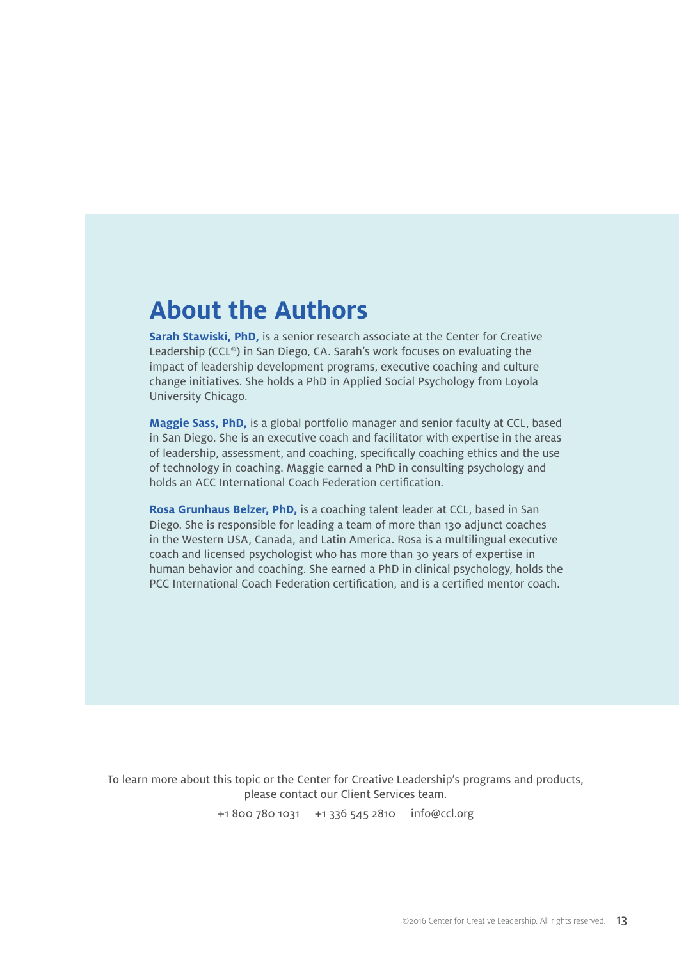### **About the Authors**

**Sarah Stawiski, PhD,** is a senior research associate at the Center for Creative Leadership (CCL®) in San Diego, CA. Sarah's work focuses on evaluating the impact of leadership development programs, executive coaching and culture change initiatives. She holds a PhD in Applied Social Psychology from Loyola University Chicago.

**Maggie Sass, PhD,** is a global portfolio manager and senior faculty at CCL, based in San Diego. She is an executive coach and facilitator with expertise in the areas of leadership, assessment, and coaching, specifically coaching ethics and the use of technology in coaching. Maggie earned a PhD in consulting psychology and holds an ACC International Coach Federation certification.

**Rosa Grunhaus Belzer, PhD,** is a coaching talent leader at CCL, based in San Diego. She is responsible for leading a team of more than 130 adjunct coaches in the Western USA, Canada, and Latin America. Rosa is a multilingual executive coach and licensed psychologist who has more than 30 years of expertise in human behavior and coaching. She earned a PhD in clinical psychology, holds the PCC International Coach Federation certification, and is a certified mentor coach.

To learn more about this topic or the Center for Creative Leadership's programs and products, please contact our Client Services team. +1 800 780 1031 +1 336 545 2810  [info@ccl.org](mailto:info%40ccl.org?subject=)